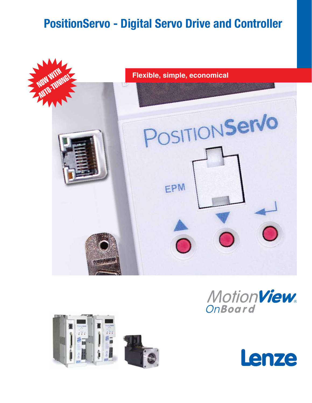# **PositionServo - Digital Servo Drive and Controller**









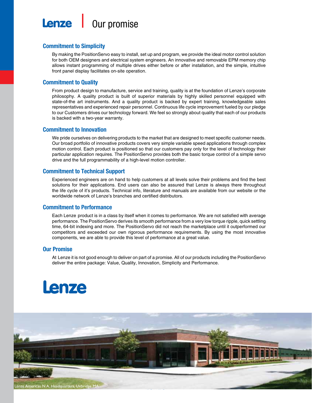

### **Commitment to Simplicity**

By making the PositionServo easy to install, set up and program, we provide the ideal motor control solution for both OEM designers and electrical system engineers. An innovative and removable EPM memory chip allows instant programming of multiple drives either before or after installation, and the simple, intuitive front panel display facilitates on-site operation.

### **Commitment to Quality**

From product design to manufacture, service and training, quality is at the foundation of Lenze's corporate philosophy. A quality product is built of superior materials by highly skilled personnel equipped with state-of-the art instruments. And a quality product is backed by expert training, knowledgeable sales representatives and experienced repair personnel. Continuous life cycle improvement fueled by our pledge to our Customers drives our technology forward. We feel so strongly about quality that each of our products is backed with a two-year warranty.

### **Commitment to Innovation**

We pride ourselves on delivering products to the market that are designed to meet specific customer needs. Our broad portfolio of innovative products covers very simple variable speed applications through complex motion control. Each product is positioned so that our customers pay only for the level of technology their particular application requires. The PositionServo provides both the basic torque control of a simple servo drive and the full programmability of a high-level motion controller.

### **Commitment to Technical Support**

Experienced engineers are on hand to help customers at all levels solve their problems and find the best solutions for their applications. End users can also be assured that Lenze is always there throughout the life cycle of it's products. Technical info, literature and manuals are available from our website or the worldwide network of Lenze's branches and certified distributors.

### **Commitment to Performance**

Each Lenze product is in a class by itself when it comes to performance. We are not satisfied with average performance. The PositionServo derives its smooth performance from a very low torque ripple, quick settling time, 64-bit indexing and more. The PositionServo did not reach the marketplace until it outperformed our competitors and exceeded our own rigorous performance requirements. By using the most innovative components, we are able to provide this level of performance at a great value.

### **Our Promise**

At Lenze it is not good enough to deliver on part of a promise. All of our products including the PositionServo deliver the entire package: Value, Quality, Innovation, Simplicity and Performance.

# **Lenze**

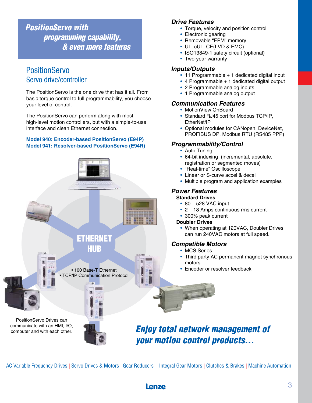*PositionServo with programming capability, & even more features*

# **PositionServo** Servo drive/controller

The PositionServo is the one drive that has it all. From basic torque control to full programmability, you choose your level of control.

The PositionServo can perform along with most high-level motion controllers, but with a simple-to-use interface and clean Ethernet connection.

### **Model 940: Encoder-based PositionServo (E94P) Model 941: Resolver-based PositionServo (E94R)**



### *Drive Features*

- Torque, velocity and position control
- Electronic gearing
- Removable "EPM" memory
- UL, cUL, CE(LVD & EMC)
- ISO13849-1 safety circuit (optional)
- Two-year warranty

### *Inputs/Outputs*

- 11 Programmable + 1 dedicated digital input
- 4 Programmable + 1 dedicated digital output
- 2 Programmable analog inputs
- 1 Programmable analog output

## *Communication Features*

- MotionView OnBoard
- Standard RJ45 port for Modbus TCP/IP, EtherNet/IP
- Optional modules for CANopen, DeviceNet, PROFIBUS DP, Modbus RTU (RS485 PPP)

## *Programmability/Control*

- Auto Tuning
- 64-bit indexing (incremental, absolute, registration or segmented moves)
- "Real-time" Oscilloscope
- Linear or S-curve accel & decel
- Multiple program and application examples

## *Power Features*

### **Standard Drives**

- 80 528 VAC input
- 2 18 Amps continuous rms current
- 300% peak current

### **Doubler Drives**

• When operating at 120VAC, Doubler Drives can run 240VAC motors at full speed.

### *Compatible Motors*

- MCS Series
- Third party AC permanent magnet synchronous motors
- Encoder or resolver feedback

# *Enjoy total network management of your motion control products...*

AC Variable Frequency Drives | Servo Drives & Motors | Gear Reducers | Integral Gear Motors | Clutches & Brakes | Machine Automation

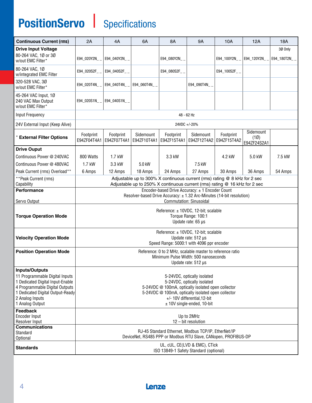# **PositionServo | Specifications**

| <b>Continuous Current (rms)</b>                                                                                                                             | 2A                                                                                                                                                                                                     | 4A                       | 6A                       | <b>8A</b>                | <b>9A</b>                | <b>10A</b>               | 12A                              | 18A          |
|-------------------------------------------------------------------------------------------------------------------------------------------------------------|--------------------------------------------------------------------------------------------------------------------------------------------------------------------------------------------------------|--------------------------|--------------------------|--------------------------|--------------------------|--------------------------|----------------------------------|--------------|
| <b>Drive Input Voltage</b>                                                                                                                                  |                                                                                                                                                                                                        |                          |                          |                          |                          |                          |                                  | 30 Only      |
| 80-264 VAC, 1Ø or 3Ø<br>w/out EMC Filter*                                                                                                                   | E94_020Y2N_                                                                                                                                                                                            | E94_040Y2N_              |                          | E94_080Y2N__             |                          | E94_100Y2N__             | E94_120Y2N__                     | E94_180T2N__ |
| 80-264 VAC, 10<br>w/integrated EMC Filter                                                                                                                   | E94_020S2F_                                                                                                                                                                                            | E94_040S2F_              |                          | E94_080S2F_              |                          | E94_100S2F__             |                                  |              |
| 320-528 VAC, 3Ø<br>w/out EMC Filter*                                                                                                                        | E94_020T4N_                                                                                                                                                                                            | E94_040T4N               | E94_060T4N__             |                          | E94 090T4N               |                          |                                  |              |
| 45-264 VAC Input, 1Ø<br>240 VAC Max Output<br>w/out EMC Filter*                                                                                             | E94 020S1N                                                                                                                                                                                             | E94 040S1N               |                          |                          |                          |                          |                                  |              |
| Input Frequency                                                                                                                                             |                                                                                                                                                                                                        | 48 - 62 Hz               |                          |                          |                          |                          |                                  |              |
| 24V External Input (Keep Alive)                                                                                                                             | 24VDC +/-20%                                                                                                                                                                                           |                          |                          |                          |                          |                          |                                  |              |
| <b>External Filter Options</b>                                                                                                                              | Footprint<br>E94ZF04T4A1                                                                                                                                                                               | Footprint<br>E94ZF07T4A1 | Sidemount<br>E94ZF10T4A1 | Footprint<br>E94ZF15T4A1 | Sidemount<br>E94ZF12T4A2 | Footprint<br>E94ZF15T4A2 | Sidemount<br>(10)<br>E94ZF24S2A1 |              |
| <b>Drive Ouput</b>                                                                                                                                          |                                                                                                                                                                                                        |                          |                          |                          |                          |                          |                                  |              |
| Continuous Power @ 240VAC                                                                                                                                   | 800 Watts                                                                                                                                                                                              | 1.7 kW                   |                          | 3.3 kW                   |                          | 4.2 kW                   | 5.0 kW                           | 7.5 kW       |
| Continuous Power @ 480VAC                                                                                                                                   | $1.7$ kW                                                                                                                                                                                               | 3.3 kW                   | 5.0 kW                   |                          | 7.5 kW                   |                          |                                  |              |
| Peak Current (rms) Overload**                                                                                                                               | 6 Amps                                                                                                                                                                                                 | 12 Amps                  | 18 Amps                  | 24 Amps                  | 27 Amps                  | 30 Amps                  | 36 Amps                          | 54 Amps      |
| **Peak Current (rms)<br>Capability                                                                                                                          | Adjustable up to 300% X continuous current (rms) rating @ 8 kHz for 2 sec<br>Adjustable up to 250% X continuous current (rms) rating @ 16 kHz for 2 sec                                                |                          |                          |                          |                          |                          |                                  |              |
| <b>Performance</b>                                                                                                                                          | Encoder-based Drive Accuracy: ± 1 Encoder Count                                                                                                                                                        |                          |                          |                          |                          |                          |                                  |              |
|                                                                                                                                                             | Resolver-based Drive Accuracy: ± 1.32 Arc-Minutes (14-bit resolution)<br><b>Commutation: Sinusoidal</b>                                                                                                |                          |                          |                          |                          |                          |                                  |              |
| Servo Output                                                                                                                                                |                                                                                                                                                                                                        |                          |                          |                          |                          |                          |                                  |              |
| <b>Torque Operation Mode</b>                                                                                                                                | Reference: ± 10VDC, 12-bit; scalable<br>Torque Range: 100:1<br>Update rate: 65 µs                                                                                                                      |                          |                          |                          |                          |                          |                                  |              |
|                                                                                                                                                             |                                                                                                                                                                                                        |                          |                          |                          |                          |                          |                                  |              |
| <b>Velocity Operation Mode</b>                                                                                                                              | Reference: ± 10VDC, 12-bit; scalable<br>Update rate: 512 µs<br>Speed Range: 5000:1 with 4096 ppr encoder                                                                                               |                          |                          |                          |                          |                          |                                  |              |
| <b>Position Operation Mode</b>                                                                                                                              | Reference: 0 to 2 MHz, scalable master to reference ratio                                                                                                                                              |                          |                          |                          |                          |                          |                                  |              |
|                                                                                                                                                             | Minimum Pulse Width: 500 nanoseconds<br>Update rate: $512 \mu s$                                                                                                                                       |                          |                          |                          |                          |                          |                                  |              |
| <b>Inputs/Outputs</b>                                                                                                                                       |                                                                                                                                                                                                        |                          |                          |                          |                          |                          |                                  |              |
| 11 Programmable Digital Inputs<br>1 Dedicated Digital Input-Enable<br>4 Programmable Digital Outputs<br>1 Dedicated Digital Output-Ready<br>2 Analog Inputs | 5-24VDC, optically isolated<br>5-24VDC, optically isolated<br>5-24VDC @ 100mA, optically isolated open collector<br>5-24VDC @ 100mA, optically isolated open collector<br>+/- 10V differential, 12-bit |                          |                          |                          |                          |                          |                                  |              |
| 1 Analog Output                                                                                                                                             | $±$ 10V single-ended, 10-bit                                                                                                                                                                           |                          |                          |                          |                          |                          |                                  |              |
| <b>Feedback</b><br>Encoder Input<br>Resolver Input                                                                                                          | Up to 2MHz<br>$12 - bit resolution$                                                                                                                                                                    |                          |                          |                          |                          |                          |                                  |              |
| <b>Communications</b>                                                                                                                                       |                                                                                                                                                                                                        |                          |                          |                          |                          |                          |                                  |              |
| Standard<br>Optional                                                                                                                                        | RJ-45 Standard Ethernet, Modbus TCP/IP, EtherNet/IP<br>DeviceNet, RS485 PPP or Modbus RTU Slave, CANopen, PROFIBUS-DP                                                                                  |                          |                          |                          |                          |                          |                                  |              |
| <b>Standards</b>                                                                                                                                            | UL, cUL, CE(LVD & EMC), CTick<br>ISO 13849-1 Safety Standard (optional)                                                                                                                                |                          |                          |                          |                          |                          |                                  |              |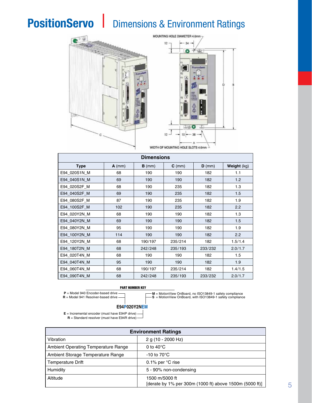# **PositionServo | Dimensions & Environment Ratings**





| <b>Dimensions</b> |          |          |             |          |             |
|-------------------|----------|----------|-------------|----------|-------------|
| <b>Type</b>       | $A$ (mm) | $B$ (mm) | $C \, (mm)$ | $D$ (mm) | Weight (kg) |
| E94 020S1N M      | 68       | 190      | 190         | 182      | 1.1         |
| E94 040S1N M      | 69       | 190      | 190         | 182      | 1.2         |
| E94 020S2F M      | 68       | 190      | 235         | 182      | 1.3         |
| E94 040S2F M      | 69       | 190      | 235         | 182      | 1.5         |
| E94 080S2F M      | 87       | 190      | 235         | 182      | 1.9         |
| E94 100S2F M      | 102      | 190      | 235         | 182      | 2.2         |
| E94 020Y2N M      | 68       | 190      | 190         | 182      | 1.3         |
| E94 040Y2N M      | 69       | 190      | 190         | 182      | 1.5         |
| E94 080Y2N M      | 95       | 190      | 190         | 182      | 1.9         |
| E94 100Y2N M      | 114      | 190      | 190         | 182      | 2.2         |
| E94 120Y2N M      | 68       | 190/197  | 235/214     | 182      | 1.5/1.4     |
| E94 180T2N M      | 68       | 242/248  | 235/193     | 233/232  | 2.0/1.7     |
| E94_020T4N_M      | 68       | 190      | 190         | 182      | 1.5         |
| E94 040T4N M      | 95       | 190      | 190         | 182      | 1.9         |
| E94 060T4N M      | 68       | 190/197  | 235/214     | 182      | 1.4/1.5     |
| E94 090T4N M      | 68       | 242/248  | 235/193     | 233/232  | 2.0/1.7     |

#### PART NUMBER KEY





**M** = MotionView OnBoard, no ISO13849-1 safety compliance<br>S = MotionView OnBoard, with ISO13849-1 safety compliance

#### **E94P020Y2NEM**



| <b>Environment Ratings</b>                 |                                                                           |  |  |  |
|--------------------------------------------|---------------------------------------------------------------------------|--|--|--|
| Vibration                                  | 2 g (10 - 2000 Hz)                                                        |  |  |  |
| <b>Ambient Operating Temperature Range</b> | 0 to $40^{\circ}$ C                                                       |  |  |  |
| Ambient Storage Temperature Range          | -10 to $70^{\circ}$ C                                                     |  |  |  |
| <b>Temperature Drift</b>                   | 0.1% per $\degree$ C rise                                                 |  |  |  |
| Humidity                                   | 5 - 90% non-condensing                                                    |  |  |  |
| Altitude                                   | 1500 m/5000 ft<br>[derate by 1% per 300m (1000 ft) above 1500m (5000 ft)] |  |  |  |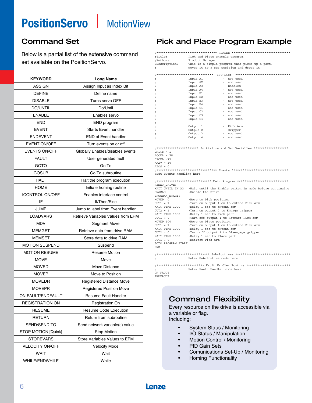# **PositionServo | MotionView**

Below is a partial list of the extensive command set available on the PositionServo.

| <b>KEYWORD</b>         | <b>Long Name</b>                   |  |  |  |  |
|------------------------|------------------------------------|--|--|--|--|
| <b>ASSIGN</b>          | Assign Input as Index Bit          |  |  |  |  |
| <b>DEFINE</b>          | Define name                        |  |  |  |  |
| <b>DISABLE</b>         | Turns servo OFF                    |  |  |  |  |
| <b>DO/UNTIL</b>        | Do/Until                           |  |  |  |  |
| <b>ENABLE</b>          | Enables servo                      |  |  |  |  |
| <b>END</b>             | END program                        |  |  |  |  |
| <b>EVENT</b>           | <b>Starts Event handler</b>        |  |  |  |  |
| <b>ENDEVENT</b>        | <b>END of Event handler</b>        |  |  |  |  |
| <b>EVENT ON/OFF</b>    | Turn events on or off              |  |  |  |  |
| <b>EVENTS ON/OFF</b>   | Globally Enables/disables events   |  |  |  |  |
| FAULT                  | User generated fault               |  |  |  |  |
| GOTO                   | Go To                              |  |  |  |  |
| Gosub                  | Go To subroutine                   |  |  |  |  |
| <b>HALT</b>            | Halt the program execution         |  |  |  |  |
| <b>HOME</b>            | Initiate homing routine            |  |  |  |  |
| <b>ICONTROL ON/OFF</b> | Enables interface control          |  |  |  |  |
| IF                     | If/Then/Else                       |  |  |  |  |
| JUMP                   | Jump to label from Event handler   |  |  |  |  |
| <b>LOADVARS</b>        | Retrieve Variables Values from EPM |  |  |  |  |
| MDV                    | <b>Segment Move</b>                |  |  |  |  |
| <b>MEMGET</b>          | Retrieve data from drive RAM       |  |  |  |  |
| <b>MEMSET</b>          | Store data to drive RAM            |  |  |  |  |
| <b>MOTION SUSPEND</b>  | Suspend                            |  |  |  |  |
| <b>MOTION RESUME</b>   | <b>Resume Motion</b>               |  |  |  |  |
| <b>MOVE</b>            | Move                               |  |  |  |  |
| <b>MOVED</b>           | Move Distance                      |  |  |  |  |
| <b>MOVEP</b>           | Move to Position                   |  |  |  |  |
| <b>MOVEDR</b>          | <b>Registered Distance Move</b>    |  |  |  |  |
| <b>MOVEPR</b>          | <b>Registered Position Move</b>    |  |  |  |  |
| ON FAULT/ENDFAULT      | <b>Resume Fault Handler</b>        |  |  |  |  |
| <b>REGISTRATION ON</b> | <b>Registration On</b>             |  |  |  |  |
| <b>RESUME</b>          | <b>Resume Code Execution</b>       |  |  |  |  |
| <b>RETURN</b>          | Return from subroutine             |  |  |  |  |
| SEND/SEND TO           | Send network variable(s) value     |  |  |  |  |
| STOP MOTION [Quick]    | Stop Motion                        |  |  |  |  |
| <b>STOREVARS</b>       | Store Variables Values to EPM      |  |  |  |  |
| <b>VELOCITY ON/OFF</b> | <b>Velocity Mode</b>               |  |  |  |  |
| WAIT                   | Wait                               |  |  |  |  |
| WHILE/ENDWHILE         | While                              |  |  |  |  |

# Command Set **Pick and Place Program Example**

;\*\*\*\*\*\*\*\*\*\*\*\*\*\*\*\*\*\*\*\*\*\*\*\*\*\*\*\*\*\*\*\*\* HEADER \*\*\*\*\*\*\*\*\*\*\*\*\*\*\*\*\*\*\*\*\*\*\*\*\*\*\*\*\*\*\*\* Pick and Place example program %;Author: Product Manager<br>pescription: This is a simpl This is a simple program that picks up a part, ; moves it to a set position and drops it

|            |          | I/O List |         | ****************************** |
|------------|----------|----------|---------|--------------------------------|
| $\ddot{i}$ | Input A1 | $\sim$   |         | not used                       |
| $\ddot{i}$ | Input A2 | ۰.       |         | not used                       |
| $\ddot{i}$ | Input A3 | ۰.       |         | Enabled                        |
| $\ddot{i}$ | Input A4 | $\sim$   |         | not used                       |
| $\ddot{i}$ | Input B1 | $\sim$   |         | not used                       |
| $\ddot{i}$ | Input B2 |          |         | - not used                     |
| $\ddot{i}$ | Input B3 |          |         | - not used                     |
| $\ddot{i}$ | Input B4 | $\sim$   |         | not used                       |
| $\ddot{i}$ | Input C1 | ۰.       |         | not used                       |
| $\ddot{i}$ | Input C2 | ۰.       |         | not used                       |
| $\ddot{i}$ | Input C3 | $\sim$   |         | not used                       |
| $\ddot{i}$ | Input C4 | ۰.       |         | not used                       |
| $\ddot{i}$ |          |          |         |                                |
| $\ddot{i}$ | Output 1 | ۰.       |         | Pick Arm                       |
| $\ddot{i}$ | Output 2 | ۰.       | Gripper |                                |
| $\ddot{i}$ | Output 3 | ۰.       |         | not used                       |
| $\cdot$    | Output 4 |          |         | not used                       |

;\*\*\*\*\*\*\*\*\*\*\*\*\*\*\*\*\*\*\*\*\*\*\* Initialize and Set Variables \*\*\*\*\*\*\*\*\*\*\*\*\*\*\*\*\*\*\* UNITS = 1

```
ACCEL = 75DECEL =75MAXV = 10
```
 $APOS = 0$ 

;\*\*\*\*\*\*\*\*\*\*\*\*\*\*\*\*\*\*\*\*\*\*\*\*\*\*\*\*\*\*\*\*\* Events \*\*\*\*\*\*\*\*\*\*\*\*\*\*\*\*\*\*\*\*\*\*\*\*\*\*\*\*\*\*\* ;Set Events handling here

;\*\*\*\*\*\*\*\*\*\*\*\*\*\*\*\*\*\*\*\*\*\*\*\*\*\*\*\*\*\* Main Program \*\*\*\*\*\*\*\*\*\*\*\*\*\*\*\*\*\*\*\*\*\*\*\*\*\*\*\* RESET\_DRIVE: WAIT UNTIL IN\_A3 ; Wait until the Enable switch is made before continuing ENABLE  $\qquad$ ; Enable the Drive ENABLE ;Enable the Drive PROGRAM\_START: MOVEP 0 ;Move to Pick position OUT1 = 1 ;Turn on output 1 on to extend Pick arm WAIT TIME 1000 ;Delay 1 sec to extend arm OUT2 = 1 ;Turn on output 2 to Engage gripper WAIT TIME 1000 ;Delay 1 sec to Pick part OUT1 = 0 ;Turn off output 1 to Retract Pick arm MOVEP 100 ;Move to Place position OUT1 = 1 ;Turn on output 1 on to extend Pick arm WAIT TIME 1000 ;Delay 1 sec to extend arm OUT2 = 0 ;Turn off output 1 to Disengage gripper WAIT TIME 1000 ;Delay 1 sec to Place part OUT1 = 0 ;Retract Pick arm GOTO PROGRAM\_START END

;\*\*\*\*\*\*\*\*\*\*\*\*\*\*\*\*\*\*\*\*\*\*\*\*\*\*\*\*\* Sub-Routines \*\*\*\*\*\*\*\*\*\*\*\*\*\*\*\*\*\*\*\*\*\*\*\*\*\*\*\*\*\* ; Enter Sub-Routine code here

;\*\*\*\*\*\*\*\*\*\*\*\*\*\*\*\*\*\*\*\*\*\*\*\*\*\* Fault Handler Routine \*\*\*\*\*\*\*\*\*\*\*\*\*\*\*\*\*\*\*\*\*\*\*\* ; Enter Fault Handler code here

ON FAULT ENDFAULT

# Command Flexibility

Every resource on the drive is accessible via a variable or flag.

- Including:
	- System Staus / Monitoring
	- I/O Status / Manipulation
	- Motion Control / Monitoring
	- PID Gain Sets
	- Comunications Set-Up / Monitoring
	- Homing Functionality

# Lenze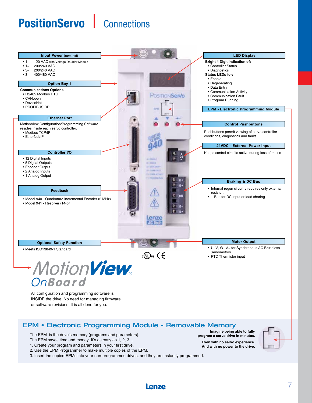# **PositionServo | Connections**



**Even with no servo experience. And with no power to the drive.**



The EPM saves time and money. It's as easy as 1, 2, 3… 1. Create your program and parameters in your first drive.

2. Use the EPM Programmer to make multiple copies of the EPM.

3. Insert the copied EPMs into your non-programmed drives, and they are instantly programmed.

Lenze